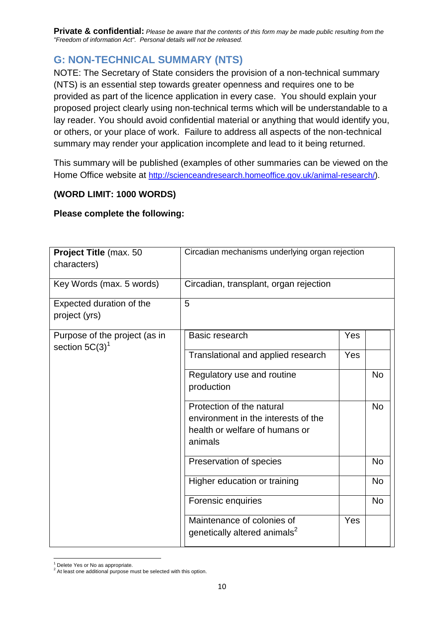**Private & confidential:** *Please be aware that the contents of this form may be made public resulting from the "Freedom of information Act". Personal details will not be released.*

## **G: NON-TECHNICAL SUMMARY (NTS)**

NOTE: The Secretary of State considers the provision of a non-technical summary (NTS) is an essential step towards greater openness and requires one to be provided as part of the licence application in every case. You should explain your proposed project clearly using non-technical terms which will be understandable to a lay reader. You should avoid confidential material or anything that would identify you, or others, or your place of work. Failure to address all aspects of the non-technical summary may render your application incomplete and lead to it being returned.

This summary will be published (examples of other summaries can be viewed on the Home Office website at [http://scienceandresearch.homeoffice.gov.uk/animal-research/\)](http://scienceandresearch.homeoffice.gov.uk/animal-research/).

## **(WORD LIMIT: 1000 WORDS)**

## **Please complete the following:**

| Project Title (max. 50                             | Circadian mechanisms underlying organ rejection                                                               |     |           |
|----------------------------------------------------|---------------------------------------------------------------------------------------------------------------|-----|-----------|
| characters)                                        |                                                                                                               |     |           |
| Key Words (max. 5 words)                           | Circadian, transplant, organ rejection                                                                        |     |           |
| Expected duration of the<br>project (yrs)          | 5                                                                                                             |     |           |
| Purpose of the project (as in<br>section $5C(3)^1$ | Basic research                                                                                                | Yes |           |
|                                                    | Translational and applied research                                                                            | Yes |           |
|                                                    | Regulatory use and routine<br>production                                                                      |     | <b>No</b> |
|                                                    | Protection of the natural<br>environment in the interests of the<br>health or welfare of humans or<br>animals |     | <b>No</b> |
|                                                    | Preservation of species                                                                                       |     | <b>No</b> |
|                                                    | Higher education or training                                                                                  |     | <b>No</b> |
|                                                    | Forensic enquiries                                                                                            |     | <b>No</b> |
|                                                    | Maintenance of colonies of<br>genetically altered animals <sup>2</sup>                                        | Yes |           |

 $\overline{a}$ <sup>1</sup> Delete Yes or No as appropriate.

 $2$  At least one additional purpose must be selected with this option.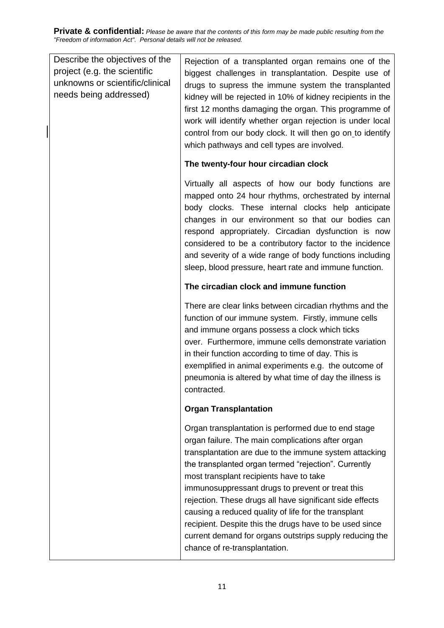**Private & confidential:** *Please be aware that the contents of this form may be made public resulting from the "Freedom of information Act". Personal details will not be released.*

 $\overline{\phantom{a}}$ 

| Describe the objectives of the<br>project (e.g. the scientific<br>unknowns or scientific/clinical<br>needs being addressed) | Rejection of a transplanted organ remains one of the<br>biggest challenges in transplantation. Despite use of<br>drugs to supress the immune system the transplanted<br>kidney will be rejected in 10% of kidney recipients in the<br>first 12 months damaging the organ. This programme of<br>work will identify whether organ rejection is under local<br>control from our body clock. It will then go on to identify<br>which pathways and cell types are involved.                                                                                                                               |
|-----------------------------------------------------------------------------------------------------------------------------|------------------------------------------------------------------------------------------------------------------------------------------------------------------------------------------------------------------------------------------------------------------------------------------------------------------------------------------------------------------------------------------------------------------------------------------------------------------------------------------------------------------------------------------------------------------------------------------------------|
|                                                                                                                             | The twenty-four hour circadian clock                                                                                                                                                                                                                                                                                                                                                                                                                                                                                                                                                                 |
|                                                                                                                             | Virtually all aspects of how our body functions are<br>mapped onto 24 hour rhythms, orchestrated by internal<br>body clocks. These internal clocks help anticipate<br>changes in our environment so that our bodies can<br>respond appropriately. Circadian dysfunction is now<br>considered to be a contributory factor to the incidence<br>and severity of a wide range of body functions including<br>sleep, blood pressure, heart rate and immune function.                                                                                                                                      |
|                                                                                                                             | The circadian clock and immune function                                                                                                                                                                                                                                                                                                                                                                                                                                                                                                                                                              |
|                                                                                                                             | There are clear links between circadian rhythms and the<br>function of our immune system. Firstly, immune cells<br>and immune organs possess a clock which ticks<br>over. Furthermore, immune cells demonstrate variation<br>in their function according to time of day. This is<br>exemplified in animal experiments e.g. the outcome of<br>pneumonia is altered by what time of day the illness is<br>contracted.                                                                                                                                                                                  |
|                                                                                                                             | <b>Organ Transplantation</b>                                                                                                                                                                                                                                                                                                                                                                                                                                                                                                                                                                         |
|                                                                                                                             | Organ transplantation is performed due to end stage<br>organ failure. The main complications after organ<br>transplantation are due to the immune system attacking<br>the transplanted organ termed "rejection". Currently<br>most transplant recipients have to take<br>immunosuppressant drugs to prevent or treat this<br>rejection. These drugs all have significant side effects<br>causing a reduced quality of life for the transplant<br>recipient. Despite this the drugs have to be used since<br>current demand for organs outstrips supply reducing the<br>chance of re-transplantation. |
|                                                                                                                             |                                                                                                                                                                                                                                                                                                                                                                                                                                                                                                                                                                                                      |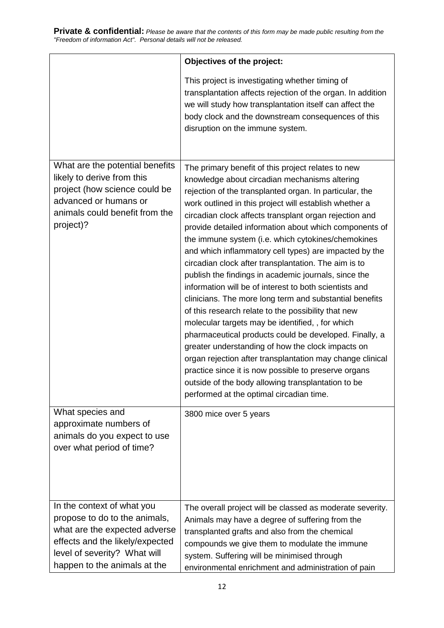|                                                                                                                                                                                                 | Objectives of the project:                                                                                                                                                                                                                                                                                                                                                                                                                                                                                                                                                                                                                                                                                                                                                                                                                                                                                                                                                                                                                                                                                                                         |
|-------------------------------------------------------------------------------------------------------------------------------------------------------------------------------------------------|----------------------------------------------------------------------------------------------------------------------------------------------------------------------------------------------------------------------------------------------------------------------------------------------------------------------------------------------------------------------------------------------------------------------------------------------------------------------------------------------------------------------------------------------------------------------------------------------------------------------------------------------------------------------------------------------------------------------------------------------------------------------------------------------------------------------------------------------------------------------------------------------------------------------------------------------------------------------------------------------------------------------------------------------------------------------------------------------------------------------------------------------------|
|                                                                                                                                                                                                 | This project is investigating whether timing of<br>transplantation affects rejection of the organ. In addition<br>we will study how transplantation itself can affect the<br>body clock and the downstream consequences of this<br>disruption on the immune system.                                                                                                                                                                                                                                                                                                                                                                                                                                                                                                                                                                                                                                                                                                                                                                                                                                                                                |
| What are the potential benefits<br>likely to derive from this<br>project (how science could be<br>advanced or humans or<br>animals could benefit from the<br>project)?                          | The primary benefit of this project relates to new<br>knowledge about circadian mechanisms altering<br>rejection of the transplanted organ. In particular, the<br>work outlined in this project will establish whether a<br>circadian clock affects transplant organ rejection and<br>provide detailed information about which components of<br>the immune system (i.e. which cytokines/chemokines<br>and which inflammatory cell types) are impacted by the<br>circadian clock after transplantation. The aim is to<br>publish the findings in academic journals, since the<br>information will be of interest to both scientists and<br>clinicians. The more long term and substantial benefits<br>of this research relate to the possibility that new<br>molecular targets may be identified, , for which<br>pharmaceutical products could be developed. Finally, a<br>greater understanding of how the clock impacts on<br>organ rejection after transplantation may change clinical<br>practice since it is now possible to preserve organs<br>outside of the body allowing transplantation to be<br>performed at the optimal circadian time. |
| What species and<br>approximate numbers of<br>animals do you expect to use<br>over what period of time?                                                                                         | 3800 mice over 5 years                                                                                                                                                                                                                                                                                                                                                                                                                                                                                                                                                                                                                                                                                                                                                                                                                                                                                                                                                                                                                                                                                                                             |
| In the context of what you<br>propose to do to the animals,<br>what are the expected adverse<br>effects and the likely/expected<br>level of severity? What will<br>happen to the animals at the | The overall project will be classed as moderate severity.<br>Animals may have a degree of suffering from the<br>transplanted grafts and also from the chemical<br>compounds we give them to modulate the immune<br>system. Suffering will be minimised through<br>environmental enrichment and administration of pain                                                                                                                                                                                                                                                                                                                                                                                                                                                                                                                                                                                                                                                                                                                                                                                                                              |